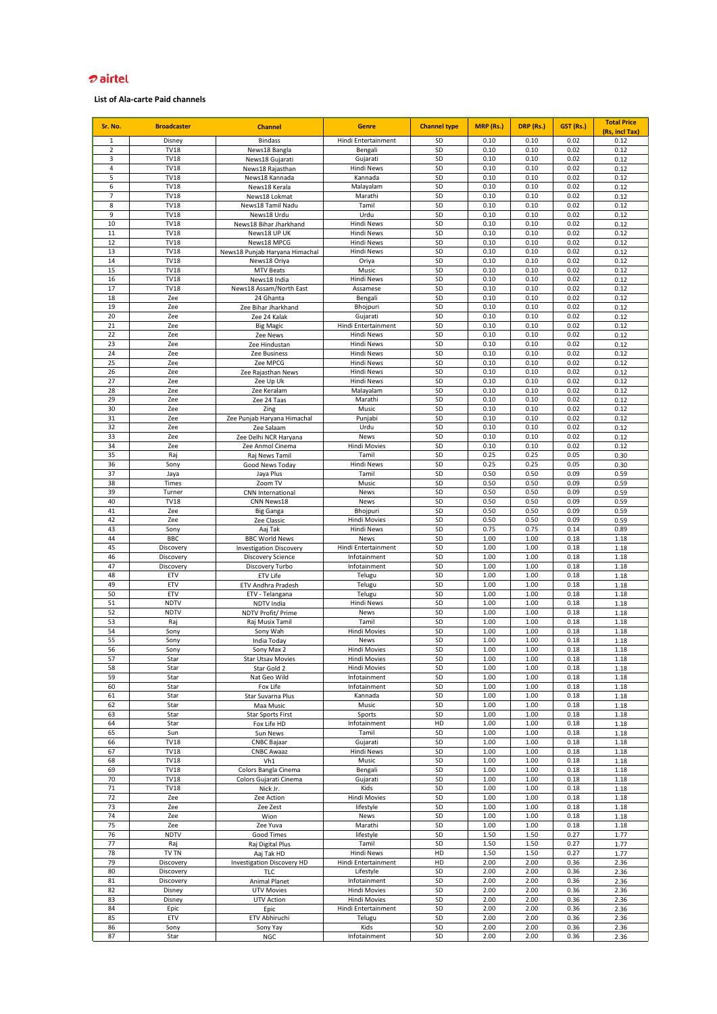# <del>o</del> airtel

| Sr. No.                        | <b>Broadcaster</b>         | <b>Channel</b>                      | <b>Genre</b>                    | <b>Channel type</b> | MRP (Rs.)    | DRP (Rs.)    | GST (Rs.)    | <b>Total Price</b> |
|--------------------------------|----------------------------|-------------------------------------|---------------------------------|---------------------|--------------|--------------|--------------|--------------------|
|                                |                            |                                     |                                 |                     |              |              |              | (Rs, incl Tax)     |
| $\mathbf{1}$<br>$\overline{2}$ | Disney<br><b>TV18</b>      | <b>Bindass</b>                      | Hindi Entertainment             | SD<br>SD            | 0.10<br>0.10 | 0.10<br>0.10 | 0.02<br>0.02 | 0.12               |
| 3                              | <b>TV18</b>                | News18 Bangla                       | Bengali                         | SD                  | 0.10         | 0.10         | 0.02         | 0.12               |
| $\overline{4}$                 | <b>TV18</b>                | News18 Gujarati<br>News18 Rajasthan | Gujarati<br>Hindi News          | SD                  | 0.10         | 0.10         | 0.02         | 0.12<br>0.12       |
| 5                              | <b>TV18</b>                | News18 Kannada                      | Kannada                         | SD                  | 0.10         | 0.10         | 0.02         | 0.12               |
| 6                              | <b>TV18</b>                | News18 Kerala                       | Malayalam                       | SD                  | 0.10         | 0.10         | 0.02         | 0.12               |
| $\overline{7}$                 | <b>TV18</b>                | News18 Lokmat                       | Marathi                         | SD                  | 0.10         | 0.10         | 0.02         | 0.12               |
| 8                              | <b>TV18</b>                | News18 Tamil Nadu                   | Tamil                           | SD                  | 0.10         | 0.10         | 0.02         | 0.12               |
| 9                              | <b>TV18</b>                | News18 Urdu                         | Urdu                            | SD                  | 0.10         | 0.10         | 0.02         | 0.12               |
| 10                             | <b>TV18</b>                | News18 Bihar Jharkhand              | <b>Hindi News</b>               | SD                  | 0.10         | 0.10         | 0.02         | 0.12               |
| 11                             | <b>TV18</b>                | News18 UP UK                        | <b>Hindi News</b>               | SD                  | 0.10         | 0.10         | 0.02         | 0.12               |
| 12                             | <b>TV18</b>                | News18 MPCG                         | <b>Hindi News</b>               | SD                  | 0.10         | 0.10         | 0.02         | 0.12               |
| 13                             | <b>TV18</b>                | News18 Punjab Haryana Himachal      | <b>Hindi News</b>               | SD                  | 0.10         | 0.10         | 0.02         | 0.12               |
| 14                             | <b>TV18</b>                | News18 Oriya                        | Oriya                           | SD                  | 0.10         | 0.10         | 0.02         | 0.12               |
| 15                             | <b>TV18</b>                | <b>MTV Beats</b>                    | Music                           | SD                  | 0.10         | 0.10         | 0.02         | 0.12               |
| 16                             | <b>TV18</b>                | News18 India                        | <b>Hindi News</b>               | SD                  | 0.10         | 0.10         | 0.02         | 0.12               |
| 17                             | <b>TV18</b>                | News18 Assam/North East             | Assamese                        | SD                  | 0.10         | 0.10         | 0.02         | 0.12               |
| 18                             | Zee                        | 24 Ghanta                           | Bengali                         | SD                  | 0.10         | 0.10         | 0.02         | 0.12               |
| 19                             | Zee                        | Zee Bihar Jharkhand                 | Bhojpuri                        | SD                  | 0.10         | 0.10         | 0.02         | 0.12               |
| 20                             | Zee                        | Zee 24 Kalak                        | Gujarati                        | SD                  | 0.10         | 0.10         | 0.02         | 0.12               |
| 21                             | Zee                        | <b>Big Magic</b>                    | Hindi Entertainment             | SD                  | 0.10         | 0.10         | 0.02         | 0.12               |
| 22                             | Zee                        | Zee News                            | Hindi News                      | SD                  | 0.10         | 0.10         | 0.02         | 0.12               |
| 23                             | Zee                        | Zee Hindustan                       | Hindi News                      | SD                  | 0.10         | 0.10         | 0.02         | 0.12               |
| 24<br>25                       | Zee<br>Zee                 | Zee Business                        | Hindi News<br><b>Hindi News</b> | SD<br>SD            | 0.10<br>0.10 | 0.10<br>0.10 | 0.02<br>0.02 | 0.12               |
| 26                             | Zee                        | Zee MPCG                            | <b>Hindi News</b>               | SD                  | 0.10         | 0.10         | 0.02         | 0.12<br>0.12       |
| 27                             | Zee                        | Zee Rajasthan News<br>Zee Up Uk     | <b>Hindi News</b>               | SD                  | 0.10         | 0.10         | 0.02         | 0.12               |
| 28                             | Zee                        | Zee Keralam                         | Malayalam                       | SD                  | 0.10         | 0.10         | 0.02         | 0.12               |
| 29                             | Zee                        | Zee 24 Taas                         | Marathi                         | SD                  | 0.10         | 0.10         | 0.02         | 0.12               |
| 30                             | Zee                        | Zing                                | Music                           | SD                  | 0.10         | 0.10         | 0.02         | 0.12               |
| 31                             | Zee                        | Zee Punjab Haryana Himachal         | Punjabi                         | SD                  | 0.10         | 0.10         | 0.02         | 0.12               |
| 32                             | Zee                        | Zee Salaam                          | Urdu                            | SD                  | 0.10         | 0.10         | 0.02         | 0.12               |
| 33                             | Zee                        | Zee Delhi NCR Haryana               | News                            | SD                  | 0.10         | 0.10         | 0.02         | 0.12               |
| 34                             | Zee                        | Zee Anmol Cinema                    | <b>Hindi Movies</b>             | SD                  | 0.10         | 0.10         | 0.02         | 0.12               |
| 35                             | Raj                        | Raj News Tamil                      | Tamil                           | SD                  | 0.25         | 0.25         | 0.05         | 0.30               |
| 36                             | Sony                       | Good News Today                     | Hindi News                      | SD                  | 0.25         | 0.25         | 0.05         | 0.30               |
| 37                             | Jaya                       | Jaya Plus                           | Tamil                           | SD                  | 0.50         | 0.50         | 0.09         | 0.59               |
| 38                             | Times                      | Zoom TV                             | Music                           | SD                  | 0.50         | 0.50         | 0.09         | 0.59               |
| 39                             | Turner                     | <b>CNN</b> International            | News                            | SD                  | 0.50         | 0.50         | 0.09         | 0.59               |
| 40                             | <b>TV18</b>                | CNN News18                          | News                            | SD                  | 0.50         | 0.50         | 0.09         | 0.59               |
| 41                             | Zee                        | <b>Big Ganga</b>                    | Bhojpuri                        | SD                  | 0.50         | 0.50         | 0.09         | 0.59               |
| 42                             | Zee                        | Zee Classic                         | <b>Hindi Movies</b>             | SD                  | 0.50         | 0.50         | 0.09         | 0.59               |
| 43                             | Sony                       | Aaj Tak                             | <b>Hindi News</b>               | SD                  | 0.75         | 0.75         | 0.14         | 0.89               |
| 44                             | BBC                        | <b>BBC World News</b>               | News                            | SD                  | 1.00         | 1.00         | 0.18         | 1.18               |
| 45                             | Discovery                  | <b>Investigation Discovery</b>      | Hindi Entertainment             | SD                  | 1.00         | 1.00         | 0.18         | 1.18               |
| 46<br>47                       | Discovery                  | <b>Discovery Science</b>            | Infotainment                    | SD                  | 1.00         | 1.00         | 0.18         | 1.18               |
| 48                             | Discovery                  | Discovery Turbo<br>ETV Life         | Infotainment                    | SD<br>SD            | 1.00<br>1.00 | 1.00<br>1.00 | 0.18         | 1.18               |
| 49                             | ETV<br>ETV                 | ETV Andhra Pradesh                  | Telugu<br>Telugu                | SD                  | 1.00         | 1.00         | 0.18<br>0.18 | 1.18<br>1.18       |
| 50                             | ETV                        | ETV - Telangana                     | Telugu                          | SD                  | 1.00         | 1.00         | 0.18         | 1.18               |
| 51                             | <b>NDTV</b>                | NDTV India                          | <b>Hindi News</b>               | SD                  | 1.00         | 1.00         | 0.18         | 1.18               |
| 52                             | <b>NDTV</b>                | NDTV Profit/ Prime                  | <b>News</b>                     | SD                  | 1.00         | 1.00         | 0.18         | 1.18               |
| 53                             | Raj                        | Raj Musix Tamil                     | Tamil                           | SD                  | 1.00         | 1.00         | 0.18         | 1.18               |
| 54                             | Sony                       | Sony Wah                            | <b>Hindi Movies</b>             | SD                  | 1.00         | 1.00         | 0.18         | 1.18               |
| 55                             | Sony                       | India Today                         | News                            | SD                  | 1.00         | 1.00         | 0.18         | 1.18               |
| 56                             | Sony                       | Sony Max 2                          | <b>Hindi Movies</b>             | SD                  | 1.00         | 1.00         | 0.18         | 1.18               |
| 57                             | Star                       | Star Utsav Movies                   | <b>Hindi Movies</b>             | SD                  | 1.00         | 1.00         | 0.18         | 1.18               |
| 58                             | Star                       | Star Gold 2                         | <b>Hindi Movies</b>             | SD                  | 1.00         | 1.00         | 0.18         | 1.18               |
| 59                             | Star                       | Nat Geo Wild                        | Infotainment                    | SD                  | 1.00         | 1.00         | 0.18         | 1.18               |
| 60                             | Star                       | Fox Life                            | Infotainment                    | SD                  | 1.00         | 1.00         | 0.18         | 1.18               |
| 61                             | Star                       | Star Suvarna Plus                   | Kannada                         | SD                  | 1.00         | 1.00         | 0.18         | 1.18               |
| 62                             | Star                       | Maa Music                           | Music                           | SD                  | 1.00         | 1.00         | 0.18         | 1.18               |
| 63                             | Star                       | <b>Star Sports First</b>            | Sports                          | SD                  | 1.00         | 1.00         | 0.18         | 1.18               |
| 64                             | Star                       | Fox Life HD                         | Infotainment                    | HD                  | 1.00         | 1.00         | 0.18         | 1.18               |
| 65                             | Sun                        | Sun News                            | Tamil                           | SD                  | 1.00         | 1.00         | 0.18         | 1.18               |
| 66                             | <b>TV18</b>                | <b>CNBC Bajaar</b>                  | Gujarati                        | SD                  | 1.00         | 1.00         | 0.18         | 1.18               |
| 67                             | <b>TV18</b>                | <b>CNBC Awaaz</b>                   | <b>Hindi News</b>               | SD                  | 1.00         | 1.00         | 0.18         | 1.18               |
| 68                             | <b>TV18</b>                | Vh1                                 | Music                           | SD                  | 1.00         | 1.00         | 0.18         | 1.18               |
| 69<br>70                       | <b>TV18</b><br><b>TV18</b> | Colors Bangla Cinema                | Bengali<br>Gujarati             | SD<br>SD            | 1.00<br>1.00 | 1.00<br>1.00 | 0.18<br>0.18 | 1.18               |
| 71                             | <b>TV18</b>                | Colors Gujarati Cinema<br>Nick Jr.  | Kids                            | SD                  | 1.00         | 1.00         | 0.18         | 1.18<br>1.18       |
| 72                             | Zee                        | Zee Action                          | <b>Hindi Movies</b>             | SD                  | 1.00         | 1.00         | 0.18         | 1.18               |
| 73                             | Zee                        | Zee Zest                            | lifestyle                       | SD                  | 1.00         | 1.00         | 0.18         | 1.18               |
| 74                             | Zee                        | Wion                                | <b>News</b>                     | SD                  | 1.00         | 1.00         | 0.18         | 1.18               |
| 75                             | Zee                        | Zee Yuva                            | Marathi                         | SD                  | 1.00         | 1.00         | 0.18         | 1.18               |
| 76                             | <b>NDTV</b>                | Good Times                          | lifestyle                       | SD                  | 1.50         | 1.50         | 0.27         | 1.77               |
| 77                             | Raj                        | Raj Digital Plus                    | Tamil                           | SD                  | 1.50         | 1.50         | 0.27         | 1.77               |
| 78                             | TV TN                      | Aaj Tak HD                          | Hindi News                      | HD                  | 1.50         | 1.50         | 0.27         | 1.77               |
| 79                             | Discovery                  | <b>Investigation Discovery HD</b>   | Hindi Entertainment             | HD                  | 2.00         | 2.00         | 0.36         | 2.36               |
| 80                             | Discovery                  | TLC                                 | Lifestyle                       | SD                  | 2.00         | 2.00         | 0.36         | 2.36               |
| 81                             | Discovery                  | Animal Planet                       | Infotainment                    | SD                  | 2.00         | 2.00         | 0.36         | 2.36               |
| 82                             | Disney                     | <b>UTV Movies</b>                   | Hindi Movies                    | SD                  | 2.00         | 2.00         | 0.36         | 2.36               |
| 83                             | Disney                     | UTV Action                          | <b>Hindi Movies</b>             | SD                  | 2.00         | 2.00         | 0.36         | 2.36               |
| 84                             | Epic                       | Epic                                | Hindi Entertainment             | SD                  | 2.00         | 2.00         | 0.36         | 2.36               |
| 85                             | ETV                        | ETV Abhiruchi                       | Telugu                          | SD                  | 2.00         | 2.00         | 0.36         | 2.36               |
| 86                             | Sony                       | Sony Yay                            | Kids                            | SD                  | 2.00         | 2.00         | 0.36         | 2.36               |
| 87                             | Star                       | NGC                                 | Infotainment                    | SD                  | 2.00         | 2.00         | 0.36         | 2.36               |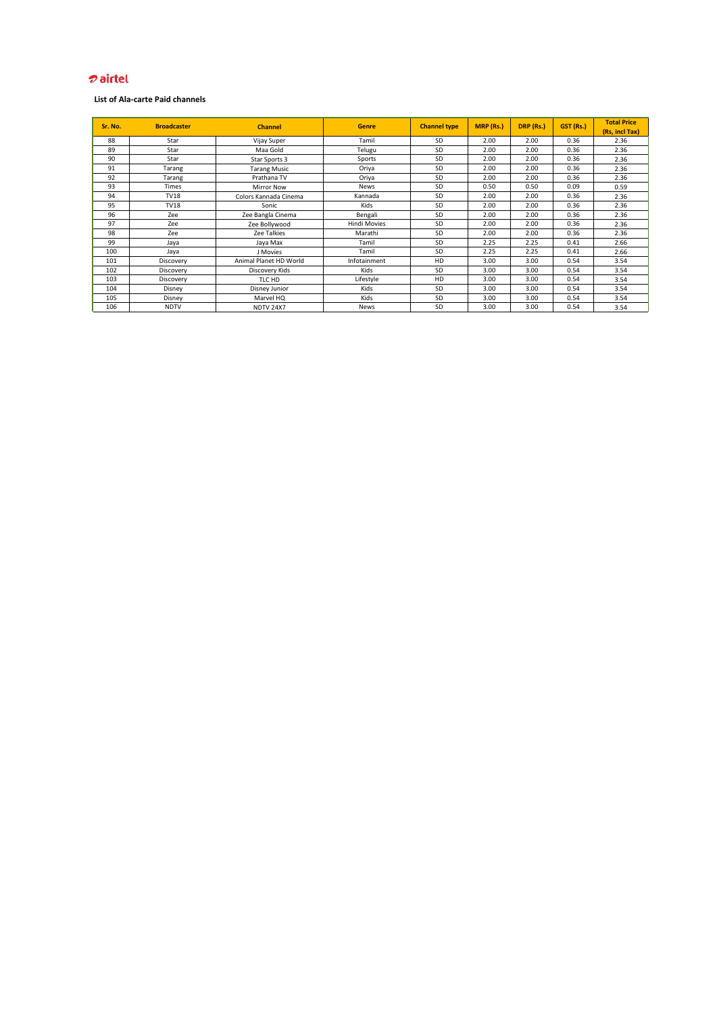# <del>o</del> airtel

| Sr. No. | <b>Broadcaster</b> | <b>Channel</b>         | <b>Genre</b>        | <b>Channel type</b> | MRP (Rs.) | DRP (Rs.) | GST (Rs.) | <b>Total Price</b><br>(Rs, incl Tax) |
|---------|--------------------|------------------------|---------------------|---------------------|-----------|-----------|-----------|--------------------------------------|
| 88      | Star               | Vijay Super            | Tamil               | <b>SD</b>           | 2.00      | 2.00      | 0.36      | 2.36                                 |
| 89      | Star               | Maa Gold               | Telugu              | SD                  | 2.00      | 2.00      | 0.36      | 2.36                                 |
| 90      | Star               | Star Sports 3          | Sports              | SD                  | 2.00      | 2.00      | 0.36      | 2.36                                 |
| 91      | Tarang             | <b>Tarang Music</b>    | Oriya               | SD                  | 2.00      | 2.00      | 0.36      | 2.36                                 |
| 92      | Tarang             | Prathana TV            | Oriya               | SD                  | 2.00      | 2.00      | 0.36      | 2.36                                 |
| 93      | <b>Times</b>       | <b>Mirror Now</b>      | <b>News</b>         | SD                  | 0.50      | 0.50      | 0.09      | 0.59                                 |
| 94      | <b>TV18</b>        | Colors Kannada Cinema  | Kannada             | SD                  | 2.00      | 2.00      | 0.36      | 2.36                                 |
| 95      | <b>TV18</b>        | Sonic                  | Kids                | SD                  | 2.00      | 2.00      | 0.36      | 2.36                                 |
| 96      | Zee                | Zee Bangla Cinema      | Bengali             | SD                  | 2.00      | 2.00      | 0.36      | 2.36                                 |
| 97      | Zee                | Zee Bollywood          | <b>Hindi Movies</b> | SD                  | 2.00      | 2.00      | 0.36      | 2.36                                 |
| 98      | Zee                | Zee Talkies            | Marathi             | SD                  | 2.00      | 2.00      | 0.36      | 2.36                                 |
| 99      | Jaya               | Jaya Max               | Tamil               | SD                  | 2.25      | 2.25      | 0.41      | 2.66                                 |
| 100     | Jaya               | J Movies               | Tamil               | SD                  | 2.25      | 2.25      | 0.41      | 2.66                                 |
| 101     | Discovery          | Animal Planet HD World | Infotainment        | HD                  | 3.00      | 3.00      | 0.54      | 3.54                                 |
| 102     | Discovery          | Discovery Kids         | Kids                | SD                  | 3.00      | 3.00      | 0.54      | 3.54                                 |
| 103     | Discovery          | TLC HD                 | Lifestyle           | HD                  | 3.00      | 3.00      | 0.54      | 3.54                                 |
| 104     | Disney             | Disney Junior          | Kids                | SD                  | 3.00      | 3.00      | 0.54      | 3.54                                 |
| 105     | Disney             | Marvel HQ              | Kids                | SD                  | 3.00      | 3.00      | 0.54      | 3.54                                 |
| 106     | <b>NDTV</b>        | <b>NDTV 24X7</b>       | <b>News</b>         | SD                  | 3.00      | 3.00      | 0.54      | 3.54                                 |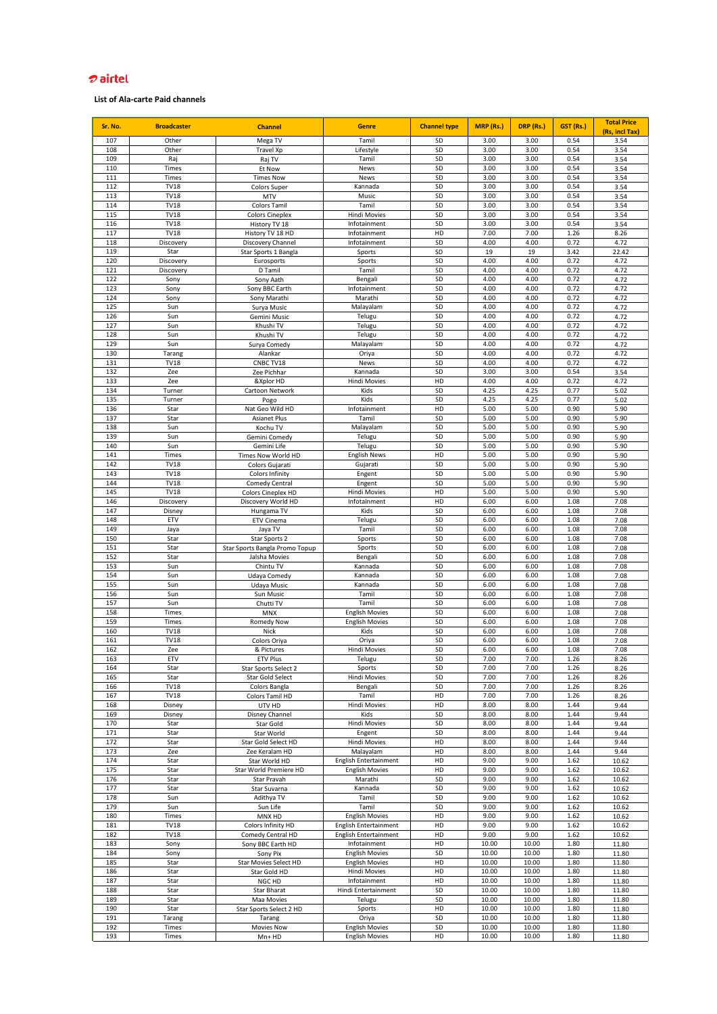# *D* airtel

| Sr. No.    | <b>Broadcaster</b>         | <b>Channel</b>                                  | <b>Genre</b>                                   | <b>Channel type</b> | MRP (Rs.)      | DRP (Rs.)      | GST (Rs.)    | <b>Total Price</b>     |
|------------|----------------------------|-------------------------------------------------|------------------------------------------------|---------------------|----------------|----------------|--------------|------------------------|
| 107        | Other                      | Mega TV                                         | Tamil                                          | SD                  | 3.00           | 3.00           | 0.54         | (Rs, incl Tax)<br>3.54 |
| 108        | Other                      | <b>Travel Xp</b>                                | Lifestyle                                      | SD                  | 3.00           | 3.00           | 0.54         | 3.54                   |
| 109        | Raj                        | Raj TV                                          | Tamil                                          | SD                  | 3.00           | 3.00           | 0.54         | 3.54                   |
| 110        | Times                      | Et Now                                          | <b>News</b>                                    | SD                  | 3.00           | 3.00           | 0.54         | 3.54                   |
| 111        | Times                      | <b>Times Now</b>                                | News                                           | SD                  | 3.00           | 3.00           | 0.54         | 3.54                   |
| 112        | <b>TV18</b>                | <b>Colors Super</b>                             | Kannada                                        | SD                  | 3.00           | 3.00           | 0.54         | 3.54                   |
| 113<br>114 | <b>TV18</b><br><b>TV18</b> | <b>MTV</b><br><b>Colors Tamil</b>               | Music<br>Tamil                                 | SD<br>SD            | 3.00<br>3.00   | 3.00<br>3.00   | 0.54<br>0.54 | 3.54<br>3.54           |
| 115        | <b>TV18</b>                | <b>Colors Cineplex</b>                          | <b>Hindi Movies</b>                            | SD                  | 3.00           | 3.00           | 0.54         | 3.54                   |
| 116        | <b>TV18</b>                | History TV 18                                   | Infotainment                                   | SD                  | 3.00           | 3.00           | 0.54         | 3.54                   |
| 117        | <b>TV18</b>                | History TV 18 HD                                | Infotainment                                   | HD                  | 7.00           | 7.00           | 1.26         | 8.26                   |
| 118        | Discovery                  | Discovery Channel                               | Infotainment                                   | SD                  | 4.00           | 4.00           | 0.72         | 4.72                   |
| 119        | Star                       | Star Sports 1 Bangla                            | Sports                                         | SD                  | 19             | 19             | 3.42         | 22.42                  |
| 120        | Discovery                  | Eurosports                                      | Sports                                         | SD                  | 4.00           | 4.00           | 0.72         | 4.72                   |
| 121        | Discovery                  | D Tamil                                         | Tamil                                          | SD                  | 4.00           | 4.00<br>4.00   | 0.72         | 4.72                   |
| 122<br>123 | Sony<br>Sony               | Sony Aath<br>Sony BBC Earth                     | Bengali<br>Infotainment                        | SD<br>SD            | 4.00<br>4.00   | 4.00           | 0.72<br>0.72 | 4.72<br>4.72           |
| 124        | Sony                       | Sony Marathi                                    | Marathi                                        | SD                  | 4.00           | 4.00           | 0.72         | 4.72                   |
| 125        | Sun                        | Surya Music                                     | Malayalam                                      | SD                  | 4.00           | 4.00           | 0.72         | 4.72                   |
| 126        | Sun                        | Gemini Music                                    | Telugu                                         | SD                  | 4.00           | 4.00           | 0.72         | 4.72                   |
| 127        | Sun                        | Khushi TV                                       | Telugu                                         | SD                  | 4.00           | 4.00           | 0.72         | 4.72                   |
| 128        | Sun                        | Khushi TV                                       | Telugu                                         | SD                  | 4.00           | 4.00           | 0.72         | 4.72                   |
| 129        | Sun                        | Surya Comedy                                    | Malayalam                                      | SD                  | 4.00           | 4.00           | 0.72         | 4.72                   |
| 130<br>131 | Tarang<br><b>TV18</b>      | Alankar<br>CNBC TV18                            | Oriya<br>News                                  | SD<br>SD            | 4.00<br>4.00   | 4.00<br>4.00   | 0.72<br>0.72 | 4.72<br>4.72           |
| 132        | Zee                        | Zee Pichhar                                     | Kannada                                        | SD                  | 3.00           | 3.00           | 0.54         | 3.54                   |
| 133        | Zee                        | &Xplor HD                                       | <b>Hindi Movies</b>                            | HD                  | 4.00           | 4.00           | 0.72         | 4.72                   |
| 134        | Turner                     | Cartoon Network                                 | Kids                                           | SD                  | 4.25           | 4.25           | 0.77         | 5.02                   |
| 135        | Turner                     | Pogo                                            | Kids                                           | SD                  | 4.25           | 4.25           | 0.77         | 5.02                   |
| 136        | Star                       | Nat Geo Wild HD                                 | Infotainment                                   | HD                  | 5.00           | 5.00           | 0.90         | 5.90                   |
| 137        | Star                       | <b>Asianet Plus</b>                             | Tamil                                          | SD                  | 5.00           | 5.00           | 0.90         | 5.90                   |
| 138<br>139 | Sun<br>Sun                 | Kochu TV                                        | Malayalam                                      | SD<br>SD            | 5.00<br>5.00   | 5.00<br>5.00   | 0.90<br>0.90 | 5.90                   |
| 140        | Sun                        | Gemini Comedy<br>Gemini Life                    | Telugu<br>Telugu                               | SD                  | 5.00           | 5.00           | 0.90         | 5.90<br>5.90           |
| 141        | Times                      | Times Now World HD                              | <b>English News</b>                            | HD                  | 5.00           | 5.00           | 0.90         | 5.90                   |
| 142        | <b>TV18</b>                | Colors Gujarati                                 | Gujarati                                       | SD                  | 5.00           | 5.00           | 0.90         | 5.90                   |
| 143        | <b>TV18</b>                | Colors Infinity                                 | Engent                                         | SD                  | 5.00           | 5.00           | 0.90         | 5.90                   |
| 144        | <b>TV18</b>                | Comedy Central                                  | Engent                                         | SD                  | 5.00           | 5.00           | 0.90         | 5.90                   |
| 145        | <b>TV18</b>                | <b>Colors Cineplex HD</b>                       | <b>Hindi Movies</b>                            | HD                  | 5.00           | 5.00           | 0.90         | 5.90                   |
| 146        | Discovery                  | Discovery World HD                              | Infotainment                                   | HD                  | 6.00           | 6.00           | 1.08         | 7.08                   |
| 147<br>148 | Disney<br>ETV              | Hungama TV<br><b>ETV Cinema</b>                 | Kids                                           | SD<br>SD            | 6.00<br>6.00   | 6.00<br>6.00   | 1.08<br>1.08 | 7.08<br>7.08           |
| 149        | Jaya                       | Jaya TV                                         | Telugu<br>Tamil                                | SD                  | 6.00           | 6.00           | 1.08         | 7.08                   |
| 150        | Star                       | Star Sports 2                                   | Sports                                         | SD                  | 6.00           | 6.00           | 1.08         | 7.08                   |
| 151        | Star                       | Star Sports Bangla Promo Topup                  | Sports                                         | SD                  | 6.00           | 6.00           | 1.08         | 7.08                   |
| 152        | Star                       | Jalsha Movies                                   | Bengali                                        | SD                  | 6.00           | 6.00           | 1.08         | 7.08                   |
| 153        | Sun                        | Chintu TV                                       | Kannada                                        | SD                  | 6.00           | 6.00           | 1.08         | 7.08                   |
| 154        | Sun                        | Udaya Comedy                                    | Kannada                                        | SD                  | 6.00           | 6.00           | 1.08         | 7.08                   |
| 155<br>156 | Sun<br>Sun                 | Udaya Music                                     | Kannada<br>Tamil                               | SD<br>SD            | 6.00<br>6.00   | 6.00<br>6.00   | 1.08<br>1.08 | 7.08                   |
| 157        | Sun                        | Sun Music<br>Chutti TV                          | Tamil                                          | SD                  | 6.00           | 6.00           | 1.08         | 7.08<br>7.08           |
| 158        | Times                      | <b>MNX</b>                                      | <b>English Movies</b>                          | SD                  | 6.00           | 6.00           | 1.08         | 7.08                   |
| 159        | Times                      | Romedy Now                                      | <b>English Movies</b>                          | SD                  | 6.00           | 6.00           | 1.08         | 7.08                   |
| 160        | <b>TV18</b>                | Nick                                            | Kids                                           | SD                  | 6.00           | 6.00           | 1.08         | 7.08                   |
| 161        | <b>TV18</b>                | Colors Oriya                                    | Oriya                                          | SD                  | 6.00           | 6.00           | 1.08         | 7.08                   |
| 162        | Zee                        | & Pictures                                      | <b>Hindi Movies</b>                            | SD                  | 6.00           | 6.00           | 1.08         | 7.08                   |
| 163<br>164 | ETV<br>Star                | ETV Plus                                        | Telugu                                         | SD<br>SD            | 7.00<br>7.00   | 7.00<br>7.00   | 1.26<br>1.26 | 8.26                   |
| 165        | Star                       | Star Sports Select 2<br><b>Star Gold Select</b> | Sports<br><b>Hindi Movies</b>                  | SD                  | 7.00           | 7.00           | 1.26         | 8.26<br>8.26           |
| 166        | <b>TV18</b>                | Colors Bangla                                   | Bengali                                        | SD                  | 7.00           | 7.00           | 1.26         | 8.26                   |
| 167        | <b>TV18</b>                | Colors Tamil HD                                 | Tamil                                          | HD                  | 7.00           | 7.00           | 1.26         | 8.26                   |
| 168        | Disney                     | UTV HD                                          | <b>Hindi Movies</b>                            | HD                  | 8.00           | 8.00           | 1.44         | 9.44                   |
| 169        | Disney                     | <b>Disney Channel</b>                           | Kids                                           | SD                  | 8.00           | 8.00           | 1.44         | 9.44                   |
| 170        | Star                       | Star Gold                                       | <b>Hindi Movies</b>                            | SD                  | 8.00           | 8.00           | 1.44         | 9.44                   |
| 171<br>172 | Star<br>Star               | Star World<br>Star Gold Select HD               | Engent<br><b>Hindi Movies</b>                  | SD<br>HD            | 8.00<br>8.00   | 8.00<br>8.00   | 1.44<br>1.44 | 9.44<br>9.44           |
| 173        | Zee                        | Zee Keralam HD                                  | Malayalam                                      | HD                  | 8.00           | 8.00           | 1.44         | 9.44                   |
| 174        | Star                       | Star World HD                                   | English Entertainment                          | HD                  | 9.00           | 9.00           | 1.62         | 10.62                  |
| 175        | Star                       | Star World Premiere HD                          | <b>English Movies</b>                          | HD                  | 9.00           | 9.00           | 1.62         | 10.62                  |
| 176        | Star                       | Star Pravah                                     | Marathi                                        | SD                  | 9.00           | 9.00           | 1.62         | 10.62                  |
| 177        | Star                       | Star Suvarna                                    | Kannada                                        | SD                  | 9.00           | 9.00           | 1.62         | 10.62                  |
| 178        | Sun                        | Adithya TV                                      | Tamil                                          | SD                  | 9.00           | 9.00           | 1.62         | 10.62                  |
| 179<br>180 | Sun                        | Sun Life                                        | Tamil                                          | SD<br>HD            | 9.00<br>9.00   | 9.00<br>9.00   | 1.62<br>1.62 | 10.62                  |
| 181        | Times<br><b>TV18</b>       | MNX HD<br>Colors Infinity HD                    | <b>English Movies</b><br>English Entertainment | HD                  | 9.00           | 9.00           | 1.62         | 10.62<br>10.62         |
| 182        | <b>TV18</b>                | Comedy Central HD                               | <b>English Entertainment</b>                   | HD                  | 9.00           | 9.00           | 1.62         | 10.62                  |
| 183        | Sony                       | Sony BBC Earth HD                               | Infotainment                                   | HD                  | 10.00          | 10.00          | 1.80         | 11.80                  |
| 184        | Sony                       | Sony Pix                                        | <b>English Movies</b>                          | SD                  | 10.00          | 10.00          | 1.80         | 11.80                  |
| 185        | Star                       | Star Movies Select HD                           | <b>English Movies</b>                          | HD                  | 10.00          | 10.00          | 1.80         | 11.80                  |
| 186        | Star                       | Star Gold HD                                    | <b>Hindi Movies</b>                            | HD                  | 10.00          | 10.00          | 1.80         | 11.80                  |
| 187        | Star                       | NGC HD                                          | Infotainment                                   | HD                  | 10.00          | 10.00          | 1.80         | 11.80                  |
| 188<br>189 | Star<br>Star               | <b>Star Bharat</b>                              | Hindi Entertainment                            | SD<br>SD            | 10.00<br>10.00 | 10.00<br>10.00 | 1.80<br>1.80 | 11.80                  |
| 190        | Star                       | Maa Movies<br>Star Sports Select 2 HD           | Telugu<br>Sports                               | HD                  | 10.00          | 10.00          | 1.80         | 11.80<br>11.80         |
| 191        | Tarang                     | Tarang                                          | Oriya                                          | SD                  | 10.00          | 10.00          | 1.80         | 11.80                  |
| 192        | Times                      | Movies Now                                      | <b>English Movies</b>                          | SD                  | 10.00          | 10.00          | 1.80         | 11.80                  |
| 193        | Times                      | $Mn+HD$                                         | <b>English Movies</b>                          | HD                  | 10.00          | 10.00          | 1.80         | 11.80                  |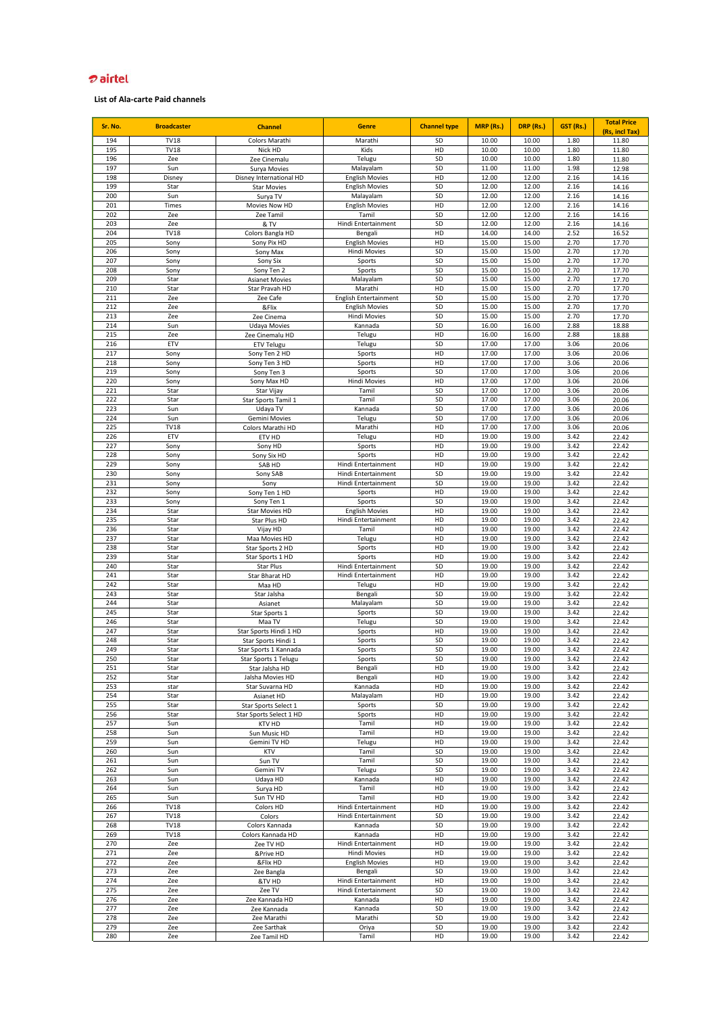# *D* airtel

| Sr. No.    | <b>Broadcaster</b>  | <b>Channel</b>                           | <b>Genre</b>                               | <b>Channel type</b> | MRP (Rs.)      | DRP (Rs.)      | GST (Rs.)    | <b>Total Price</b><br>(Rs, incl Tax) |
|------------|---------------------|------------------------------------------|--------------------------------------------|---------------------|----------------|----------------|--------------|--------------------------------------|
| 194        | <b>TV18</b>         | Colors Marathi                           | Marathi                                    | SD                  | 10.00          | 10.00          | 1.80         | 11.80                                |
| 195        | <b>TV18</b>         | Nick HD                                  | Kids                                       | HD                  | 10.00          | 10.00          | 1.80         | 11.80                                |
| 196<br>197 | Zee<br>Sun          | Zee Cinemalu<br>Surya Movies             | Telugu<br>Malayalam                        | SD<br>SD            | 10.00<br>11.00 | 10.00<br>11.00 | 1.80<br>1.98 | 11.80<br>12.98                       |
| 198        | Disney              | Disney International HD                  | <b>English Movies</b>                      | HD                  | 12.00          | 12.00          | 2.16         | 14.16                                |
| 199        | Star                | <b>Star Movies</b>                       | <b>English Movies</b>                      | SD                  | 12.00          | 12.00          | 2.16         | 14.16                                |
| 200<br>201 | Sun<br>Times        | Surya TV<br>Movies Now HD                | Malayalam<br><b>English Movies</b>         | SD<br>HD            | 12.00<br>12.00 | 12.00<br>12.00 | 2.16<br>2.16 | 14.16<br>14.16                       |
| 202        | Zee                 | Zee Tamil                                | Tamil                                      | SD                  | 12.00          | 12.00          | 2.16         | 14.16                                |
| 203        | Zee                 | & TV                                     | Hindi Entertainment                        | SD                  | 12.00          | 12.00          | 2.16         | 14.16                                |
| 204<br>205 | <b>TV18</b><br>Sony | Colors Bangla HD<br>Sony Pix HD          | Bengali<br><b>English Movies</b>           | HD<br>HD            | 14.00<br>15.00 | 14.00<br>15.00 | 2.52<br>2.70 | 16.52<br>17.70                       |
| 206        | Sony                | Sony Max                                 | <b>Hindi Movies</b>                        | SD                  | 15.00          | 15.00          | 2.70         | 17.70                                |
| 207        | Sony                | Sony Six                                 | Sports                                     | SD                  | 15.00          | 15.00          | 2.70         | 17.70                                |
| 208<br>209 | Sony<br>Star        | Sony Ten 2                               | Sports<br>Malayalam                        | SD<br>SD            | 15.00<br>15.00 | 15.00<br>15.00 | 2.70<br>2.70 | 17.70<br>17.70                       |
| 210        | Star                | <b>Asianet Movies</b><br>Star Pravah HD  | Marathi                                    | HD                  | 15.00          | 15.00          | 2.70         | 17.70                                |
| 211        | Zee                 | Zee Cafe                                 | <b>English Entertainment</b>               | SD                  | 15.00          | 15.00          | 2.70         | 17.70                                |
| 212        | Zee                 | &Flix                                    | <b>English Movies</b>                      | SD                  | 15.00          | 15.00          | 2.70         | 17.70                                |
| 213<br>214 | Zee<br>Sun          | Zee Cinema<br><b>Udaya Movies</b>        | <b>Hindi Movies</b><br>Kannada             | SD<br>SD            | 15.00<br>16.00 | 15.00<br>16.00 | 2.70<br>2.88 | 17.70<br>18.88                       |
| 215        | Zee                 | Zee Cinemalu HD                          | Telugu                                     | HD                  | 16.00          | 16.00          | 2.88         | 18.88                                |
| 216        | ETV                 | <b>ETV Telugu</b>                        | Telugu                                     | SD                  | 17.00          | 17.00          | 3.06         | 20.06                                |
| 217<br>218 | Sony<br>Sony        | Sony Ten 2 HD<br>Sony Ten 3 HD           | Sports<br>Sports                           | HD<br>HD            | 17.00<br>17.00 | 17.00<br>17.00 | 3.06<br>3.06 | 20.06<br>20.06                       |
| 219        | Sony                | Sony Ten 3                               | Sports                                     | SD                  | 17.00          | 17.00          | 3.06         | 20.06                                |
| 220        | Sony                | Sony Max HD                              | <b>Hindi Movies</b>                        | HD                  | 17.00          | 17.00          | 3.06         | 20.06                                |
| 221        | Star                | Star Vijay                               | Tamil                                      | SD                  | 17.00          | 17.00          | 3.06         | 20.06                                |
| 222<br>223 | Star<br>Sun         | Star Sports Tamil 1<br>Udaya TV          | Tamil<br>Kannada                           | SD<br>SD            | 17.00<br>17.00 | 17.00<br>17.00 | 3.06<br>3.06 | 20.06<br>20.06                       |
| 224        | Sun                 | Gemini Movies                            | Telugu                                     | SD                  | 17.00          | 17.00          | 3.06         | 20.06                                |
| 225        | <b>TV18</b>         | Colors Marathi HD                        | Marathi                                    | HD                  | 17.00          | 17.00          | 3.06         | 20.06                                |
| 226        | ETV                 | ETV HD                                   | Telugu                                     | HD                  | 19.00          | 19.00          | 3.42         | 22.42                                |
| 227<br>228 | Sony<br>Sony        | Sony HD<br>Sony Six HD                   | Sports<br>Sports                           | HD<br>HD            | 19.00<br>19.00 | 19.00<br>19.00 | 3.42<br>3.42 | 22.42<br>22.42                       |
| 229        | Sony                | SAB HD                                   | Hindi Entertainment                        | HD                  | 19.00          | 19.00          | 3.42         | 22.42                                |
| 230        | Sony                | Sony SAB                                 | Hindi Entertainment                        | SD                  | 19.00          | 19.00          | 3.42         | 22.42                                |
| 231        | Sony                | Sony                                     | Hindi Entertainment                        | SD                  | 19.00          | 19.00          | 3.42         | 22.42                                |
| 232<br>233 | Sony<br>Sony        | Sony Ten 1 HD<br>Sony Ten 1              | Sports<br>Sports                           | HD<br>SD            | 19.00<br>19.00 | 19.00<br>19.00 | 3.42<br>3.42 | 22.42<br>22.42                       |
| 234        | Star                | Star Movies HD                           | <b>English Movies</b>                      | HD                  | 19.00          | 19.00          | 3.42         | 22.42                                |
| 235        | Star                | Star Plus HD                             | Hindi Entertainment                        | HD                  | 19.00          | 19.00          | 3.42         | 22.42                                |
| 236        | Star                | Vijay HD                                 | Tamil                                      | HD                  | 19.00          | 19.00          | 3.42         | 22.42                                |
| 237<br>238 | Star<br>Star        | Maa Movies HD<br>Star Sports 2 HD        | Telugu<br>Sports                           | HD<br>HD            | 19.00<br>19.00 | 19.00<br>19.00 | 3.42<br>3.42 | 22.42<br>22.42                       |
| 239        | Star                | Star Sports 1 HD                         | Sports                                     | HD                  | 19.00          | 19.00          | 3.42         | 22.42                                |
| 240        | Star                | Star Plus                                | Hindi Entertainment                        | SD                  | 19.00          | 19.00          | 3.42         | 22.42                                |
| 241<br>242 | Star<br>Star        | Star Bharat HD<br>Maa HD                 | Hindi Entertainment                        | HD<br>HD            | 19.00<br>19.00 | 19.00<br>19.00 | 3.42<br>3.42 | 22.42                                |
| 243        | Star                | Star Jalsha                              | Telugu<br>Bengali                          | SD                  | 19.00          | 19.00          | 3.42         | 22.42<br>22.42                       |
| 244        | Star                | Asianet                                  | Malayalam                                  | SD                  | 19.00          | 19.00          | 3.42         | 22.42                                |
| 245        | Star                | Star Sports 1                            | Sports                                     | SD                  | 19.00          | 19.00          | 3.42         | 22.42                                |
| 246<br>247 | Star<br>Star        | Maa TV<br>Star Sports Hindi 1 HD         | Telugu<br>Sports                           | SD<br>HD            | 19.00<br>19.00 | 19.00<br>19.00 | 3.42<br>3.42 | 22.42<br>22.42                       |
| 248        | Star                | Star Sports Hindi 1                      | Sports                                     | SD                  | 19.00          | 19.00          | 3.42         | 22.42                                |
| 249        | Star                | Star Sports 1 Kannada                    | Sports                                     | SD                  | 19.00          | 19.00          | 3.42         | 22.42                                |
| 250        | Star                | Star Sports 1 Telugu                     | Sports                                     | SD                  | 19.00          | 19.00          | 3.42         | 22.42                                |
| 251<br>252 | Star<br>Star        | Star Jalsha HD<br>Jalsha Movies HD       | Bengali<br>Bengali                         | HD<br>HD            | 19.00<br>19.00 | 19.00<br>19.00 | 3.42<br>3.42 | 22.42<br>22.42                       |
| 253        | star                | Star Suvarna HD                          | Kannada                                    | HD                  | 19.00          | 19.00          | 3.42         | 22.42                                |
| 254        | Star                | Asianet HD                               | Malayalam                                  | HD                  | 19.00          | 19.00          | 3.42         | 22.42                                |
| 255<br>256 | Star<br>Star        | Star Sports Select 1                     | Sports<br>Sports                           | SD<br>HD            | 19.00<br>19.00 | 19.00<br>19.00 | 3.42<br>3.42 | 22.42                                |
| 257        | Sun                 | Star Sports Select 1 HD<br><b>KTV HD</b> | Tamil                                      | HD                  | 19.00          | 19.00          | 3.42         | 22.42<br>22.42                       |
| 258        | Sun                 | Sun Music HD                             | Tamil                                      | HD                  | 19.00          | 19.00          | 3.42         | 22.42                                |
| 259        | Sun                 | Gemini TV HD                             | Telugu                                     | HD                  | 19.00          | 19.00          | 3.42         | 22.42                                |
| 260<br>261 | Sun<br>Sun          | KTV<br>Sun TV                            | Tamil<br>Tamil                             | SD<br>SD            | 19.00<br>19.00 | 19.00<br>19.00 | 3.42<br>3.42 | 22.42<br>22.42                       |
| 262        | Sun                 | Gemini TV                                | Telugu                                     | SD                  | 19.00          | 19.00          | 3.42         | 22.42                                |
| 263        | Sun                 | Udaya HD                                 | Kannada                                    | HD                  | 19.00          | 19.00          | 3.42         | 22.42                                |
| 264        | Sun                 | Surya HD                                 | Tamil                                      | HD                  | 19.00          | 19.00          | 3.42         | 22.42                                |
| 265<br>266 | Sun<br><b>TV18</b>  | Sun TV HD<br>Colors HD                   | Tamil<br>Hindi Entertainment               | HD<br>HD            | 19.00<br>19.00 | 19.00<br>19.00 | 3.42<br>3.42 | 22.42<br>22.42                       |
| 267        | <b>TV18</b>         | Colors                                   | Hindi Entertainment                        | SD                  | 19.00          | 19.00          | 3.42         | 22.42                                |
| 268        | <b>TV18</b>         | Colors Kannada                           | Kannada                                    | SD                  | 19.00          | 19.00          | 3.42         | 22.42                                |
| 269        | <b>TV18</b>         | Colors Kannada HD                        | Kannada                                    | HD                  | 19.00          | 19.00          | 3.42         | 22.42                                |
| 270<br>271 | Zee<br>Zee          | Zee TV HD<br>&Prive HD                   | Hindi Entertainment<br><b>Hindi Movies</b> | HD<br>HD            | 19.00<br>19.00 | 19.00<br>19.00 | 3.42<br>3.42 | 22.42<br>22.42                       |
| 272        | Zee                 | &Flix HD                                 | <b>English Movies</b>                      | HD                  | 19.00          | 19.00          | 3.42         | 22.42                                |
| 273        | Zee                 | Zee Bangla                               | Bengali                                    | SD                  | 19.00          | 19.00          | 3.42         | 22.42                                |
| 274        | Zee                 | &TV HD                                   | Hindi Entertainment                        | HD                  | 19.00          | 19.00          | 3.42         | 22.42                                |
| 275<br>276 | Zee<br>Zee          | Zee TV<br>Zee Kannada HD                 | Hindi Entertainment<br>Kannada             | SD<br>HD            | 19.00<br>19.00 | 19.00<br>19.00 | 3.42<br>3.42 | 22.42<br>22.42                       |
| 277        | Zee                 | Zee Kannada                              | Kannada                                    | SD                  | 19.00          | 19.00          | 3.42         | 22.42                                |
| 278        | Zee                 | Zee Marathi                              | Marathi                                    | SD                  | 19.00          | 19.00          | 3.42         | 22.42                                |
| 279<br>280 | Zee<br>Zee          | Zee Sarthak<br>Zee Tamil HD              | Oriya<br>Tamil                             | SD<br>HD            | 19.00<br>19.00 | 19.00<br>19.00 | 3.42<br>3.42 | 22.42<br>22.42                       |
|            |                     |                                          |                                            |                     |                |                |              |                                      |